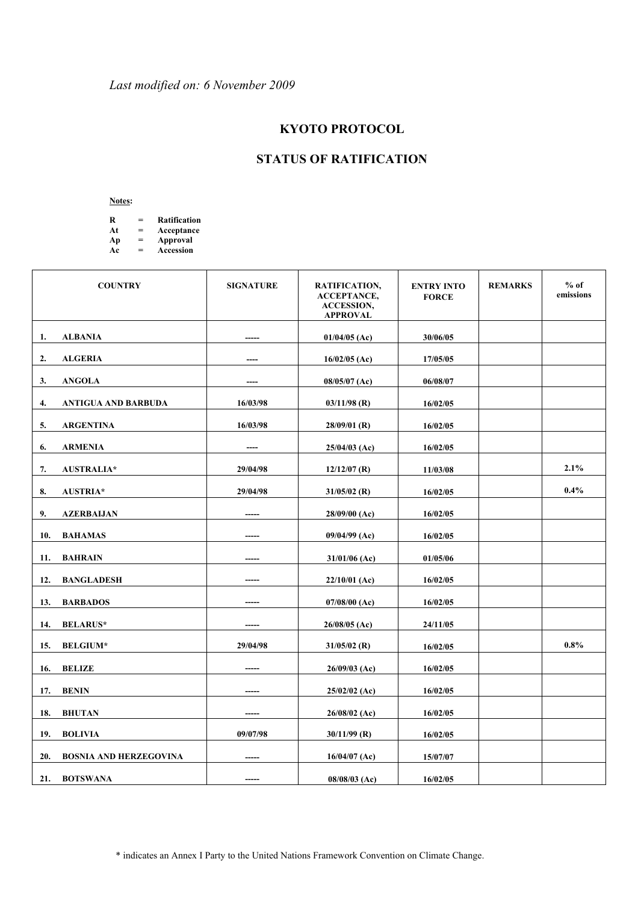### **KYOTO PROTOCOL**

## **STATUS OF RATIFICATION**

**Notes:** 

**R = Ratification** 

**At = Acceptance** 

**Ap = Approval Ac = Accession** 

| <b>COUNTRY</b>                       | <b>SIGNATURE</b> | RATIFICATION,<br><b>ACCEPTANCE,</b><br><b>ACCESSION,</b><br><b>APPROVAL</b> | <b>ENTRY INTO</b><br><b>FORCE</b> | <b>REMARKS</b> | $%$ of<br>emissions |
|--------------------------------------|------------------|-----------------------------------------------------------------------------|-----------------------------------|----------------|---------------------|
| <b>ALBANIA</b><br>1.                 |                  | $01/04/05$ (Ac)                                                             | 30/06/05                          |                |                     |
| <b>ALGERIA</b><br>2.                 |                  | $16/02/05$ (Ac)                                                             | 17/05/05                          |                |                     |
| <b>ANGOLA</b><br>3.                  |                  | $08/05/07$ (Ac)                                                             | 06/08/07                          |                |                     |
| <b>ANTIGUA AND BARBUDA</b><br>4.     | 16/03/98         | $03/11/98$ (R)                                                              | 16/02/05                          |                |                     |
| <b>ARGENTINA</b><br>5.               | 16/03/98         | $28/09/01$ (R)                                                              | 16/02/05                          |                |                     |
| <b>ARMENIA</b><br>6.                 |                  | $25/04/03$ (Ac)                                                             | 16/02/05                          |                |                     |
| <b>AUSTRALIA*</b><br>7.              | 29/04/98         | $12/12/07$ (R)                                                              | 11/03/08                          |                | 2.1%                |
| <b>AUSTRIA*</b><br>8.                | 29/04/98         | $31/05/02$ (R)                                                              | 16/02/05                          |                | $0.4\%$             |
| <b>AZERBAIJAN</b><br>9.              | -----            | $28/09/00$ (Ac)                                                             | 16/02/05                          |                |                     |
| <b>BAHAMAS</b><br>10.                |                  | $09/04/99$ (Ac)                                                             | 16/02/05                          |                |                     |
| <b>BAHRAIN</b><br>11.                |                  | $31/01/06$ (Ac)                                                             | 01/05/06                          |                |                     |
| 12.<br><b>BANGLADESH</b>             |                  | $22/10/01$ (Ac)                                                             | 16/02/05                          |                |                     |
| <b>BARBADOS</b><br>13.               |                  | $07/08/00$ (Ac)                                                             | 16/02/05                          |                |                     |
| <b>BELARUS*</b><br>14.               |                  | $26/08/05$ (Ac)                                                             | 24/11/05                          |                |                     |
| <b>BELGIUM*</b><br>15.               | 29/04/98         | $31/05/02$ (R)                                                              | 16/02/05                          |                | $0.8\%$             |
| <b>BELIZE</b><br>16.                 |                  | $26/09/03$ (Ac)                                                             | 16/02/05                          |                |                     |
| 17.<br><b>BENIN</b>                  |                  | $25/02/02$ (Ac)                                                             | 16/02/05                          |                |                     |
| <b>BHUTAN</b><br>18.                 |                  | $26/08/02$ (Ac)                                                             | 16/02/05                          |                |                     |
| 19.<br><b>BOLIVIA</b>                | 09/07/98         | $30/11/99$ (R)                                                              | 16/02/05                          |                |                     |
| 20.<br><b>BOSNIA AND HERZEGOVINA</b> |                  | $16/04/07$ (Ac)                                                             | 15/07/07                          |                |                     |
| <b>BOTSWANA</b><br>21.               |                  | $08/08/03$ (Ac)                                                             | 16/02/05                          |                |                     |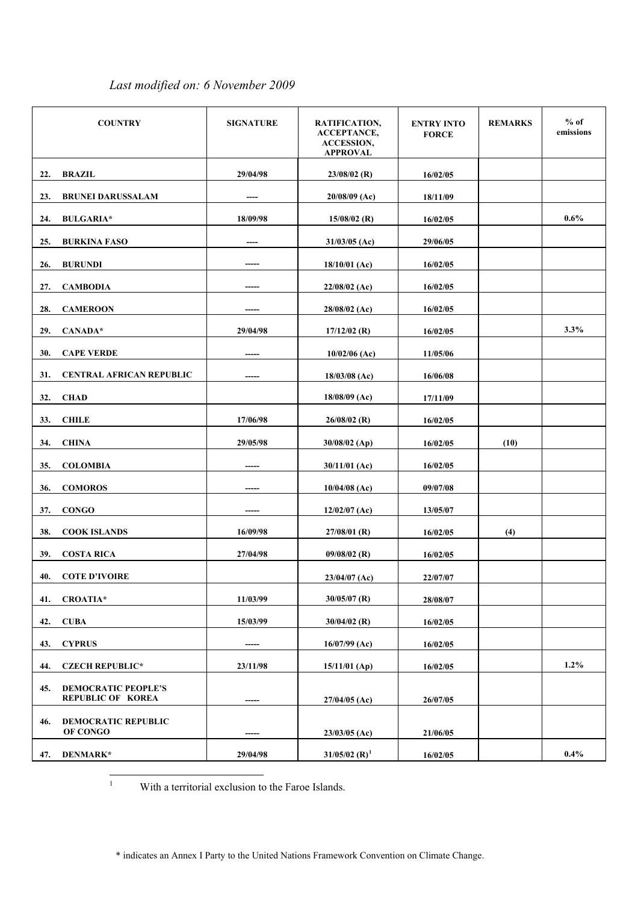| <b>COUNTRY</b>                                                | <b>SIGNATURE</b> | RATIFICATION,<br><b>ACCEPTANCE,</b><br><b>ACCESSION,</b><br><b>APPROVAL</b> | <b>ENTRY INTO</b><br><b>FORCE</b> | <b>REMARKS</b> | $%$ of<br>emissions |
|---------------------------------------------------------------|------------------|-----------------------------------------------------------------------------|-----------------------------------|----------------|---------------------|
| <b>BRAZIL</b><br>22.                                          | 29/04/98         | $23/08/02$ (R)                                                              | 16/02/05                          |                |                     |
| 23.<br><b>BRUNEI DARUSSALAM</b>                               |                  | $20/08/09$ (Ac)                                                             | 18/11/09                          |                |                     |
| <b>BULGARIA*</b><br>24.                                       | 18/09/98         | $15/08/02$ (R)                                                              | 16/02/05                          |                | $0.6\%$             |
| 25.<br><b>BURKINA FASO</b>                                    |                  | $31/03/05$ (Ac)                                                             | 29/06/05                          |                |                     |
| <b>BURUNDI</b><br>26.                                         |                  | $18/10/01$ (Ac)                                                             | 16/02/05                          |                |                     |
| 27.<br><b>CAMBODIA</b>                                        |                  | $22/08/02$ (Ac)                                                             | 16/02/05                          |                |                     |
| 28.<br><b>CAMEROON</b>                                        |                  | $28/08/02$ (Ac)                                                             | 16/02/05                          |                |                     |
| 29.<br>CANADA*                                                | 29/04/98         | $17/12/02$ (R)                                                              | 16/02/05                          |                | 3.3%                |
| <b>CAPE VERDE</b><br>30.                                      |                  | $10/02/06$ (Ac)                                                             | 11/05/06                          |                |                     |
| <b>CENTRAL AFRICAN REPUBLIC</b><br>31.                        |                  | $18/03/08$ (Ac)                                                             | 16/06/08                          |                |                     |
| <b>CHAD</b><br>32.                                            |                  | $18/08/09$ (Ac)                                                             | 17/11/09                          |                |                     |
| 33.<br><b>CHILE</b>                                           | 17/06/98         | 26/08/02 (R)                                                                | 16/02/05                          |                |                     |
| <b>CHINA</b><br>34.                                           | 29/05/98         | 30/08/02 (Ap)                                                               | 16/02/05                          | (10)           |                     |
| <b>COLOMBIA</b><br>35.                                        |                  | $30/11/01$ (Ac)                                                             | 16/02/05                          |                |                     |
| <b>COMOROS</b><br>36.                                         |                  | $10/04/08$ (Ac)                                                             | 09/07/08                          |                |                     |
| 37.<br><b>CONGO</b>                                           |                  | $12/02/07$ (Ac)                                                             | 13/05/07                          |                |                     |
| <b>COOK ISLANDS</b><br>38.                                    | 16/09/98         | $27/08/01$ (R)                                                              | 16/02/05                          | (4)            |                     |
| 39.<br><b>COSTA RICA</b>                                      | 27/04/98         | $09/08/02$ (R)                                                              | 16/02/05                          |                |                     |
| 40.<br><b>COTE D'IVOIRE</b>                                   |                  | $23/04/07$ (Ac)                                                             | 22/07/07                          |                |                     |
| <b>CROATIA*</b><br>41.                                        | 11/03/99         | $30/05/07$ (R)                                                              | 28/08/07                          |                |                     |
| 42.<br><b>CUBA</b>                                            | 15/03/99         | $30/04/02$ (R)                                                              | 16/02/05                          |                |                     |
| 43.<br><b>CYPRUS</b>                                          |                  | $16/07/99$ (Ac)                                                             | 16/02/05                          |                |                     |
| <b>CZECH REPUBLIC*</b><br>44.                                 | 23/11/98         | $15/11/01$ (Ap)                                                             | 16/02/05                          |                | 1.2%                |
| 45.<br><b>DEMOCRATIC PEOPLE'S</b><br><b>REPUBLIC OF KOREA</b> | -----            | $27/04/05$ (Ac)                                                             | 26/07/05                          |                |                     |
| <b>DEMOCRATIC REPUBLIC</b><br>46.<br>OF CONGO                 |                  | $23/03/05$ (Ac)                                                             | 21/06/05                          |                |                     |
| DENMARK*<br>47.                                               | 29/04/98         | $31/05/02$ (R) <sup>1</sup>                                                 | 16/02/05                          |                | 0.4%                |

With a territorial exclusion to the Faroe Islands.

<span id="page-1-0"></span> $\frac{1}{1}$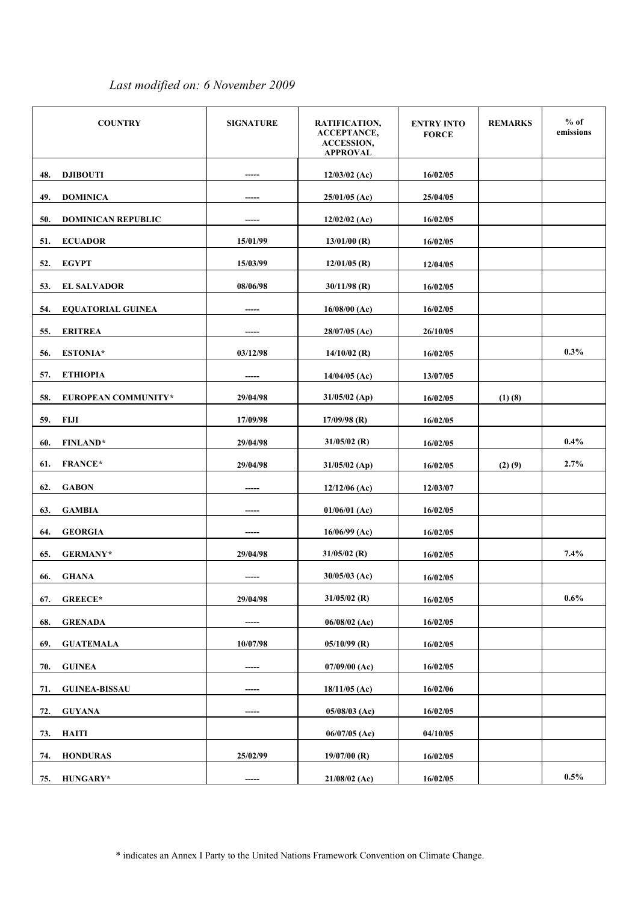| <b>COUNTRY</b>                   | <b>SIGNATURE</b> | RATIFICATION,<br><b>ACCEPTANCE,</b><br><b>ACCESSION,</b><br><b>APPROVAL</b> | <b>ENTRY INTO</b><br><b>FORCE</b> | <b>REMARKS</b> | $%$ of<br>emissions |
|----------------------------------|------------------|-----------------------------------------------------------------------------|-----------------------------------|----------------|---------------------|
| <b>DJIBOUTI</b><br>48.           |                  | $12/03/02$ (Ac)                                                             | 16/02/05                          |                |                     |
| 49.<br><b>DOMINICA</b>           |                  | $25/01/05$ (Ac)                                                             | 25/04/05                          |                |                     |
| <b>DOMINICAN REPUBLIC</b><br>50. |                  | $12/02/02$ (Ac)                                                             | 16/02/05                          |                |                     |
| 51.<br><b>ECUADOR</b>            | 15/01/99         | $13/01/00$ (R)                                                              | 16/02/05                          |                |                     |
| <b>EGYPT</b><br>52.              | 15/03/99         | $12/01/05$ (R)                                                              | 12/04/05                          |                |                     |
| 53.<br><b>EL SALVADOR</b>        | 08/06/98         | $30/11/98$ (R)                                                              | 16/02/05                          |                |                     |
| 54.<br><b>EQUATORIAL GUINEA</b>  |                  | $16/08/00$ (Ac)                                                             | 16/02/05                          |                |                     |
| <b>ERITREA</b><br>55.            |                  | $28/07/05$ (Ac)                                                             | 26/10/05                          |                |                     |
| <b>ESTONIA*</b><br>56.           | 03/12/98         | $14/10/02$ (R)                                                              | 16/02/05                          |                | $0.3\%$             |
| 57.<br><b>ETHIOPIA</b>           |                  | $14/04/05$ (Ac)                                                             | 13/07/05                          |                |                     |
| 58.<br>EUROPEAN COMMUNITY*       | 29/04/98         | 31/05/02 (Ap)                                                               | 16/02/05                          | $(1)$ $(8)$    |                     |
| 59.<br><b>FIJI</b>               | 17/09/98         | $17/09/98$ (R)                                                              | 16/02/05                          |                |                     |
| <b>FINLAND*</b><br>60.           | 29/04/98         | $31/05/02$ (R)                                                              | 16/02/05                          |                | 0.4%                |
| <b>FRANCE*</b><br>61.            | 29/04/98         | $31/05/02$ (Ap)                                                             | 16/02/05                          | (2)(9)         | 2.7%                |
| <b>GABON</b><br>62.              |                  | $12/12/06$ (Ac)                                                             | 12/03/07                          |                |                     |
| <b>GAMBIA</b><br>63.             |                  | $01/06/01$ (Ac)                                                             | 16/02/05                          |                |                     |
| <b>GEORGIA</b><br>64.            |                  | $16/06/99$ (Ac)                                                             | 16/02/05                          |                |                     |
| GERMANY*<br>65.                  | 29/04/98         | $31/05/02$ (R)                                                              | 16/02/05                          |                | 7.4%                |
| <b>GHANA</b><br>66.              |                  | $30/05/03$ (Ac)                                                             | 16/02/05                          |                |                     |
| ${\tt GREECE^*}$<br>67.          | 29/04/98         | $31/05/02$ (R)                                                              | 16/02/05                          |                | 0.6%                |
| 68.<br><b>GRENADA</b>            |                  | $06/08/02$ (Ac)                                                             | 16/02/05                          |                |                     |
| 69.<br><b>GUATEMALA</b>          | 10/07/98         | $05/10/99$ (R)                                                              | 16/02/05                          |                |                     |
| <b>GUINEA</b><br>70.             |                  | $07/09/00$ (Ac)                                                             | 16/02/05                          |                |                     |
| <b>GUINEA-BISSAU</b><br>71.      |                  | $18/11/05$ (Ac)                                                             | 16/02/06                          |                |                     |
| <b>GUYANA</b><br>72.             |                  | $05/08/03$ (Ac)                                                             | 16/02/05                          |                |                     |
| <b>HAITI</b><br>73.              |                  | $06/07/05$ (Ac)                                                             | 04/10/05                          |                |                     |
| <b>HONDURAS</b><br>74.           | 25/02/99         | $19/07/00$ (R)                                                              | 16/02/05                          |                |                     |
| HUNGARY*<br>75.                  |                  | 21/08/02 (Ac)                                                               | 16/02/05                          |                | $0.5\%$             |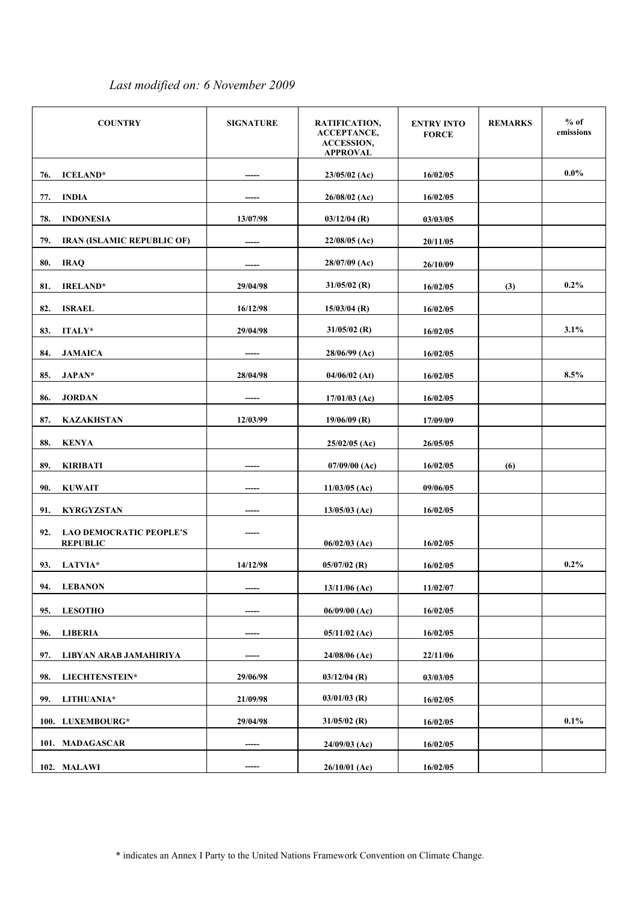| <b>COUNTRY</b>                                           | <b>SIGNATURE</b> | RATIFICATION,<br><b>ACCEPTANCE,</b><br><b>ACCESSION,</b><br><b>APPROVAL</b> | <b>ENTRY INTO</b><br><b>FORCE</b> | <b>REMARKS</b> | $%$ of<br>emissions |
|----------------------------------------------------------|------------------|-----------------------------------------------------------------------------|-----------------------------------|----------------|---------------------|
| <b>ICELAND*</b><br>76.                                   |                  | $23/05/02$ (Ac)                                                             | 16/02/05                          |                | $0.0\%$             |
| <b>INDIA</b><br>77.                                      |                  | $26/08/02$ (Ac)                                                             | 16/02/05                          |                |                     |
| 78.<br><b>INDONESIA</b>                                  | 13/07/98         | $03/12/04$ (R)                                                              | 03/03/05                          |                |                     |
| 79.<br><b>IRAN (ISLAMIC REPUBLIC OF)</b>                 |                  | $22/08/05$ (Ac)                                                             | 20/11/05                          |                |                     |
| 80.<br><b>IRAQ</b>                                       |                  | $28/07/09$ (Ac)                                                             | 26/10/09                          |                |                     |
| <b>IRELAND*</b><br>81.                                   | 29/04/98         | $31/05/02$ (R)                                                              | 16/02/05                          | (3)            | $0.2\%$             |
| <b>ISRAEL</b><br>82.                                     | 16/12/98         | $15/03/04$ (R)                                                              | 16/02/05                          |                |                     |
| 83.<br>ITALY*                                            | 29/04/98         | $31/05/02$ (R)                                                              | 16/02/05                          |                | 3.1%                |
| <b>JAMAICA</b><br>84.                                    |                  | $28/06/99$ (Ac)                                                             | 16/02/05                          |                |                     |
| JAPAN*<br>85.                                            | 28/04/98         | $04/06/02$ (At)                                                             | 16/02/05                          |                | 8.5%                |
| <b>JORDAN</b><br>86.                                     |                  | $17/01/03$ (Ac)                                                             | 16/02/05                          |                |                     |
| 87.<br><b>KAZAKHSTAN</b>                                 | 12/03/99         | $19/06/09$ (R)                                                              | 17/09/09                          |                |                     |
| 88.<br><b>KENYA</b>                                      |                  | $25/02/05$ (Ac)                                                             | 26/05/05                          |                |                     |
| <b>KIRIBATI</b><br>89.                                   |                  | $07/09/00$ (Ac)                                                             | 16/02/05                          | (6)            |                     |
| 90.<br><b>KUWAIT</b>                                     |                  | $11/03/05$ (Ac)                                                             | 09/06/05                          |                |                     |
| 91.<br><b>KYRGYZSTAN</b>                                 |                  | $13/05/03$ (Ac)                                                             | 16/02/05                          |                |                     |
| 92.<br><b>LAO DEMOCRATIC PEOPLE'S</b><br><b>REPUBLIC</b> |                  | $06/02/03$ (Ac)                                                             | 16/02/05                          |                |                     |
| 93.<br><b>LATVIA*</b>                                    | 14/12/98         | $05/07/02$ (R)                                                              | 16/02/05                          |                | 0.2%                |
| 94. LEBANON                                              |                  | $13/11/06$ (Ac)                                                             | 11/02/07                          |                |                     |
| <b>LESOTHO</b><br>95.                                    |                  | $06/09/00$ (Ac)                                                             | 16/02/05                          |                |                     |
| <b>LIBERIA</b><br>96.                                    |                  | $05/11/02$ (Ac)                                                             | 16/02/05                          |                |                     |
| LIBYAN ARAB JAMAHIRIYA<br>97.                            |                  | 24/08/06 (Ac)                                                               | 22/11/06                          |                |                     |
| 98.<br>LIECHTENSTEIN*                                    | 29/06/98         | $03/12/04$ (R)                                                              | 03/03/05                          |                |                     |
| LITHUANIA*<br>99.                                        | 21/09/98         | $03/01/03$ (R)                                                              | 16/02/05                          |                |                     |
| 100. LUXEMBOURG*                                         | 29/04/98         | $31/05/02$ (R)                                                              | 16/02/05                          |                | $0.1\%$             |
| 101. MADAGASCAR                                          |                  | 24/09/03 (Ac)                                                               | 16/02/05                          |                |                     |
| 102. MALAWI                                              |                  | 26/10/01 (Ac)                                                               | 16/02/05                          |                |                     |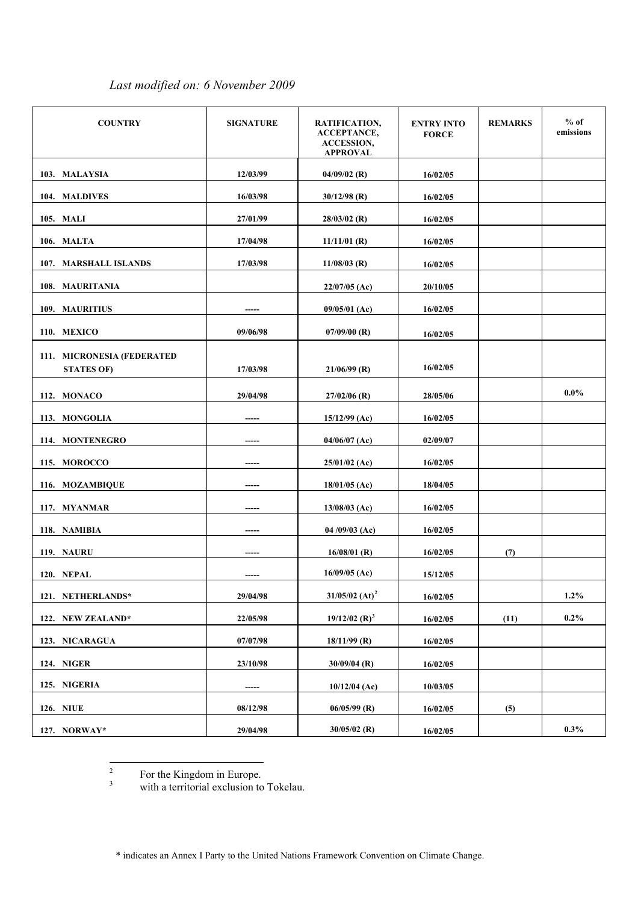| <b>COUNTRY</b>                                  | <b>SIGNATURE</b> | RATIFICATION,<br><b>ACCEPTANCE,</b><br><b>ACCESSION,</b><br><b>APPROVAL</b> | <b>ENTRY INTO</b><br><b>FORCE</b> | <b>REMARKS</b> | $%$ of<br>emissions |
|-------------------------------------------------|------------------|-----------------------------------------------------------------------------|-----------------------------------|----------------|---------------------|
| 103. MALAYSIA                                   | 12/03/99         | $04/09/02$ (R)                                                              | 16/02/05                          |                |                     |
| 104. MALDIVES                                   | 16/03/98         | $30/12/98$ (R)                                                              | 16/02/05                          |                |                     |
| 105. MALI                                       | 27/01/99         | $28/03/02$ (R)                                                              | 16/02/05                          |                |                     |
| 106. MALTA                                      | 17/04/98         | $11/11/01$ (R)                                                              | 16/02/05                          |                |                     |
| 107. MARSHALL ISLANDS                           | 17/03/98         | $11/08/03$ (R)                                                              | 16/02/05                          |                |                     |
| 108. MAURITANIA                                 |                  | 22/07/05 (Ac)                                                               | 20/10/05                          |                |                     |
| 109. MAURITIUS                                  |                  | $09/05/01$ (Ac)                                                             | 16/02/05                          |                |                     |
| 110. MEXICO                                     | 09/06/98         | $07/09/00$ (R)                                                              | 16/02/05                          |                |                     |
| 111. MICRONESIA (FEDERATED<br><b>STATES OF)</b> | 17/03/98         | $21/06/99$ (R)                                                              | 16/02/05                          |                |                     |
| 112. MONACO                                     | 29/04/98         | $27/02/06$ (R)                                                              | 28/05/06                          |                | $0.0\%$             |
| 113. MONGOLIA                                   |                  | $15/12/99$ (Ac)                                                             | 16/02/05                          |                |                     |
| 114. MONTENEGRO                                 |                  | $04/06/07$ (Ac)                                                             | 02/09/07                          |                |                     |
| 115. MOROCCO                                    |                  | $25/01/02$ (Ac)                                                             | 16/02/05                          |                |                     |
| 116. MOZAMBIQUE                                 |                  | 18/01/05 (Ac)                                                               | 18/04/05                          |                |                     |
| 117. MYANMAR                                    |                  | $13/08/03$ (Ac)                                                             | 16/02/05                          |                |                     |
| 118. NAMIBIA                                    |                  | $04/09/03$ (Ac)                                                             | 16/02/05                          |                |                     |
| 119. NAURU                                      |                  | $16/08/01$ (R)                                                              | 16/02/05                          | (7)            |                     |
| 120. NEPAL                                      |                  | $16/09/05$ (Ac)                                                             | 15/12/05                          |                |                     |
| 121. NETHERLANDS*                               | 29/04/98         | 31/05/02 $(At)^2$                                                           | 16/02/05                          |                | 1.2%                |
| 122. NEW ZEALAND*                               | 22/05/98         | $19/12/02$ (R) <sup>3</sup>                                                 | 16/02/05                          | (11)           | $0.2\%$             |
| 123. NICARAGUA                                  | 07/07/98         | $18/11/99$ (R)                                                              | 16/02/05                          |                |                     |
| <b>124. NIGER</b>                               | 23/10/98         | $30/09/04$ (R)                                                              | 16/02/05                          |                |                     |
| 125. NIGERIA                                    |                  | $10/12/04$ (Ac)                                                             | 10/03/05                          |                |                     |
| 126. NIUE                                       | 08/12/98         | $06/05/99$ (R)                                                              | 16/02/05                          | (5)            |                     |
| 127. NORWAY*                                    | 29/04/98         | $30/05/02$ (R)                                                              | 16/02/05                          |                | $0.3\%$             |

<span id="page-4-1"></span><span id="page-4-0"></span> $\frac{1}{2}$  For the Kingdom in Europe. 3

with a territorial exclusion to Tokelau.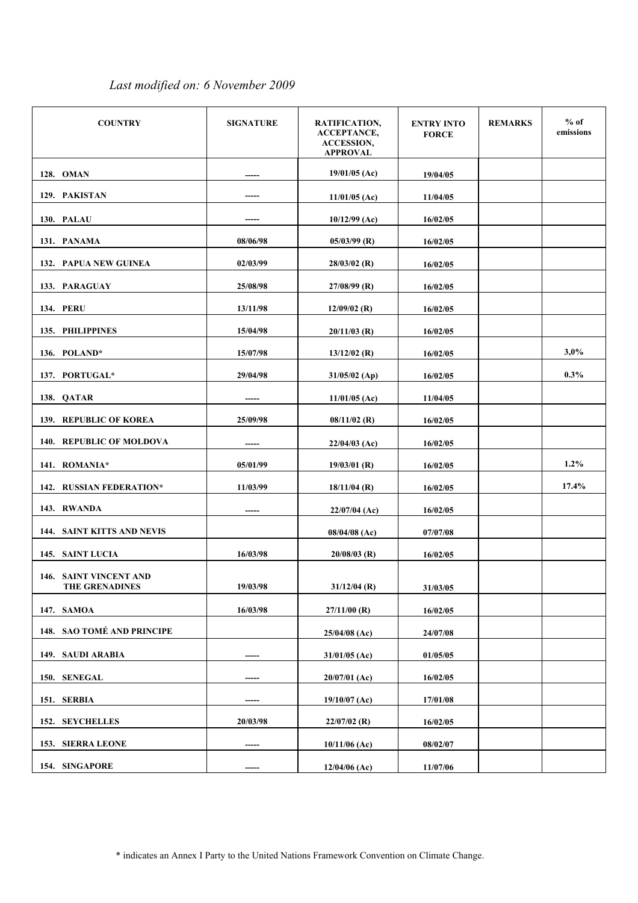| <b>COUNTRY</b>                           | <b>SIGNATURE</b> | RATIFICATION,<br><b>ACCEPTANCE,</b><br><b>ACCESSION,</b><br><b>APPROVAL</b> | <b>ENTRY INTO</b><br><b>FORCE</b> | <b>REMARKS</b> | $%$ of<br>emissions |
|------------------------------------------|------------------|-----------------------------------------------------------------------------|-----------------------------------|----------------|---------------------|
| 128. OMAN                                |                  | $19/01/05$ (Ac)                                                             | 19/04/05                          |                |                     |
| 129. PAKISTAN                            |                  | $11/01/05$ (Ac)                                                             | 11/04/05                          |                |                     |
| 130. PALAU                               |                  | $10/12/99$ (Ac)                                                             | 16/02/05                          |                |                     |
| 131. PANAMA                              | 08/06/98         | $05/03/99$ (R)                                                              | 16/02/05                          |                |                     |
| 132. PAPUA NEW GUINEA                    | 02/03/99         | $28/03/02$ (R)                                                              | 16/02/05                          |                |                     |
| 133. PARAGUAY                            | 25/08/98         | $27/08/99$ (R)                                                              | 16/02/05                          |                |                     |
| <b>134. PERU</b>                         | 13/11/98         | $12/09/02$ (R)                                                              | 16/02/05                          |                |                     |
| 135. PHILIPPINES                         | 15/04/98         | $20/11/03$ (R)                                                              | 16/02/05                          |                |                     |
| 136. POLAND*                             | 15/07/98         | $13/12/02$ (R)                                                              | 16/02/05                          |                | 3,0%                |
| 137. PORTUGAL*                           | 29/04/98         | $31/05/02$ (Ap)                                                             | 16/02/05                          |                | $0.3\%$             |
| 138. QATAR                               |                  | $11/01/05$ (Ac)                                                             | 11/04/05                          |                |                     |
| 139. REPUBLIC OF KOREA                   | 25/09/98         | $08/11/02$ (R)                                                              | 16/02/05                          |                |                     |
| 140. REPUBLIC OF MOLDOVA                 |                  | $22/04/03$ (Ac)                                                             | 16/02/05                          |                |                     |
| 141. ROMANIA*                            | 05/01/99         | $19/03/01$ (R)                                                              | 16/02/05                          |                | $1.2\%$             |
| 142. RUSSIAN FEDERATION*                 | 11/03/99         | $18/11/04$ (R)                                                              | 16/02/05                          |                | 17.4%               |
| 143. RWANDA                              |                  | $22/07/04$ (Ac)                                                             | 16/02/05                          |                |                     |
| 144. SAINT KITTS AND NEVIS               |                  | $08/04/08$ (Ac)                                                             | 07/07/08                          |                |                     |
| 145. SAINT LUCIA                         | 16/03/98         | $20/08/03$ (R)                                                              | 16/02/05                          |                |                     |
| 146. SAINT VINCENT AND<br>THE GRENADINES | 19/03/98         | $31/12/04$ (R)                                                              | 31/03/05                          |                |                     |
| 147. SAMOA                               | 16/03/98         | $27/11/00$ (R)                                                              | 16/02/05                          |                |                     |
| 148. SAO TOMÉ AND PRINCIPE               |                  | 25/04/08 (Ac)                                                               | 24/07/08                          |                |                     |
| 149. SAUDI ARABIA                        |                  | $31/01/05$ (Ac)                                                             | 01/05/05                          |                |                     |
| 150. SENEGAL                             |                  | $20/07/01$ (Ac)                                                             | 16/02/05                          |                |                     |
| 151. SERBIA                              | -----            | $19/10/07$ (Ac)                                                             | 17/01/08                          |                |                     |
| <b>152. SEYCHELLES</b>                   | 20/03/98         | $22/07/02$ (R)                                                              | 16/02/05                          |                |                     |
| 153. SIERRA LEONE                        | -----            | $10/11/06$ (Ac)                                                             | 08/02/07                          |                |                     |
| 154. SINGAPORE                           |                  | 12/04/06 (Ac)                                                               | 11/07/06                          |                |                     |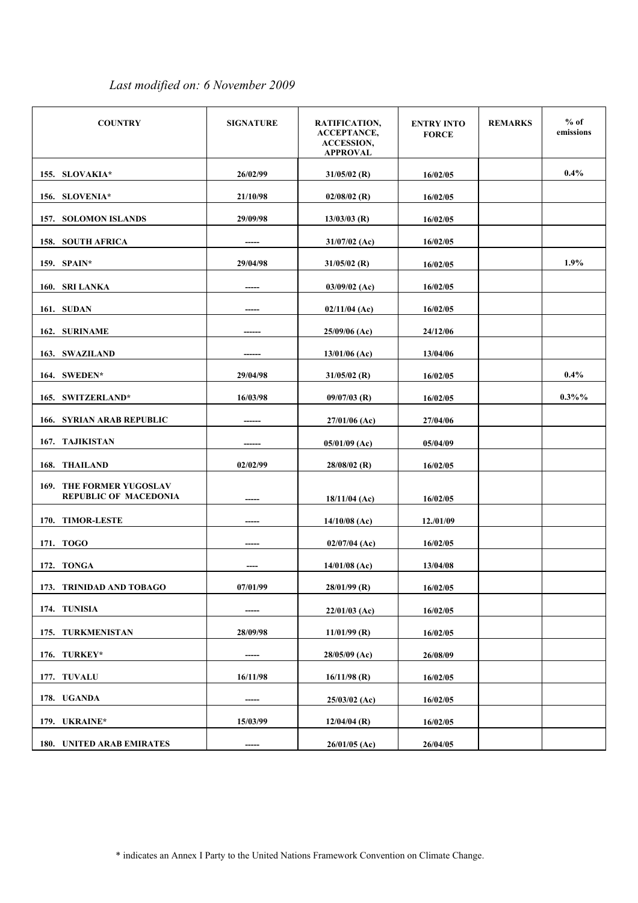| <b>COUNTRY</b>                                           | <b>SIGNATURE</b> | RATIFICATION,<br><b>ACCEPTANCE,</b><br><b>ACCESSION,</b><br><b>APPROVAL</b> | <b>ENTRY INTO</b><br><b>FORCE</b> | <b>REMARKS</b> | $%$ of<br>emissions |
|----------------------------------------------------------|------------------|-----------------------------------------------------------------------------|-----------------------------------|----------------|---------------------|
| 155. SLOVAKIA*                                           | 26/02/99         | $31/05/02$ (R)                                                              | 16/02/05                          |                | $0.4\%$             |
| 156. SLOVENIA*                                           | 21/10/98         | $02/08/02$ (R)                                                              | 16/02/05                          |                |                     |
| <b>157. SOLOMON ISLANDS</b>                              | 29/09/98         | $13/03/03$ (R)                                                              | 16/02/05                          |                |                     |
| 158. SOUTH AFRICA                                        |                  | $31/07/02$ (Ac)                                                             | 16/02/05                          |                |                     |
| 159. SPAIN*                                              | 29/04/98         | $31/05/02$ (R)                                                              | 16/02/05                          |                | 1.9%                |
| 160. SRI LANKA                                           |                  | $03/09/02$ (Ac)                                                             | 16/02/05                          |                |                     |
| 161. SUDAN                                               |                  | $02/11/04$ (Ac)                                                             | 16/02/05                          |                |                     |
| 162. SURINAME                                            |                  | 25/09/06 (Ac)                                                               | 24/12/06                          |                |                     |
| 163. SWAZILAND                                           |                  | $13/01/06$ (Ac)                                                             | 13/04/06                          |                |                     |
| 164. SWEDEN*                                             | 29/04/98         | $31/05/02$ (R)                                                              | 16/02/05                          |                | $0.4\%$             |
| 165. SWITZERLAND*                                        | 16/03/98         | 09/07/03 (R)                                                                | 16/02/05                          |                | $0.3\%$ %           |
| 166. SYRIAN ARAB REPUBLIC                                |                  | $27/01/06$ (Ac)                                                             | 27/04/06                          |                |                     |
| 167. TAJIKISTAN                                          | -------          | $05/01/09$ (Ac)                                                             | 05/04/09                          |                |                     |
| 168. THAILAND                                            | 02/02/99         | $28/08/02$ (R)                                                              | 16/02/05                          |                |                     |
| 169. THE FORMER YUGOSLAV<br><b>REPUBLIC OF MACEDONIA</b> |                  | $18/11/04$ (Ac)                                                             | 16/02/05                          |                |                     |
| 170. TIMOR-LESTE                                         |                  | $14/10/08$ (Ac)                                                             | 12./01/09                         |                |                     |
| 171. TOGO                                                |                  | $02/07/04$ (Ac)                                                             | 16/02/05                          |                |                     |
| 172. TONGA                                               |                  | $14/01/08$ (Ac)                                                             | 13/04/08                          |                |                     |
| 173. TRINIDAD AND TOBAGO                                 | 07/01/99         | 28/01/99 (R)                                                                | 16/02/05                          |                |                     |
| 174. TUNISIA                                             |                  | $22/01/03$ (Ac)                                                             | 16/02/05                          |                |                     |
| 175. TURKMENISTAN                                        | 28/09/98         | $11/01/99$ (R)                                                              | 16/02/05                          |                |                     |
| 176. TURKEY*                                             |                  | $28/05/09$ (Ac)                                                             | 26/08/09                          |                |                     |
| 177. TUVALU                                              | 16/11/98         | $16/11/98$ (R)                                                              | 16/02/05                          |                |                     |
| 178. UGANDA                                              |                  | $25/03/02$ (Ac)                                                             | 16/02/05                          |                |                     |
| 179. UKRAINE*                                            | 15/03/99         | $12/04/04$ (R)                                                              | 16/02/05                          |                |                     |
| 180. UNITED ARAB EMIRATES                                |                  | $26/01/05$ (Ac)                                                             | 26/04/05                          |                |                     |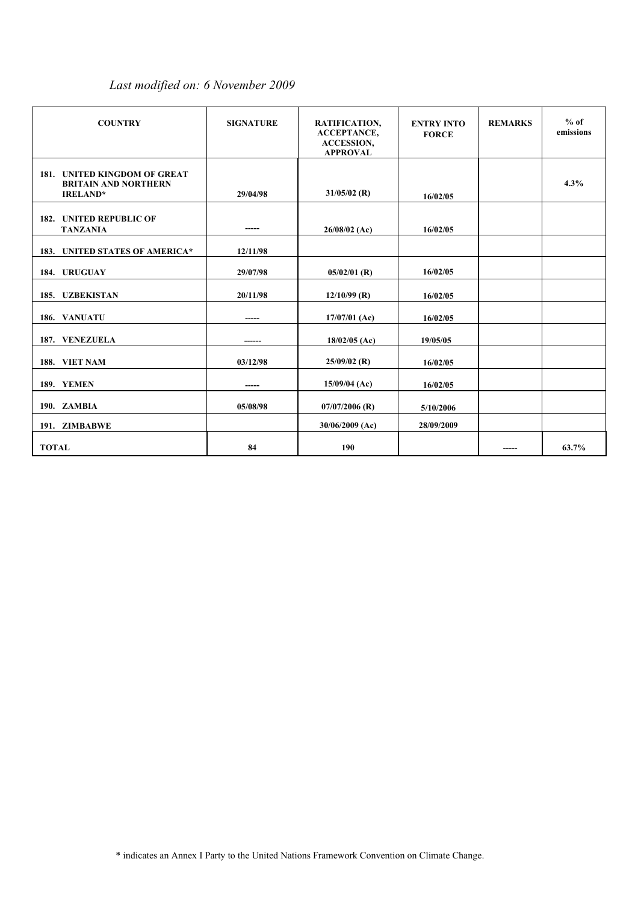| <b>COUNTRY</b>                                                                 | <b>SIGNATURE</b> | RATIFICATION,<br>ACCEPTANCE,<br><b>ACCESSION,</b><br><b>APPROVAL</b> | <b>ENTRY INTO</b><br><b>FORCE</b> | <b>REMARKS</b> | $%$ of<br>emissions |
|--------------------------------------------------------------------------------|------------------|----------------------------------------------------------------------|-----------------------------------|----------------|---------------------|
| 181. UNITED KINGDOM OF GREAT<br><b>BRITAIN AND NORTHERN</b><br><b>IRELAND*</b> | 29/04/98         | $31/05/02$ (R)                                                       | 16/02/05                          |                | 4.3%                |
| 182. UNITED REPUBLIC OF<br><b>TANZANIA</b>                                     | -----            | $26/08/02$ (Ac)                                                      | 16/02/05                          |                |                     |
| 183. UNITED STATES OF AMERICA*                                                 | 12/11/98         |                                                                      |                                   |                |                     |
| 184. URUGUAY                                                                   | 29/07/98         | $05/02/01$ (R)                                                       | 16/02/05                          |                |                     |
| 185. UZBEKISTAN                                                                | 20/11/98         | $12/10/99$ (R)                                                       | 16/02/05                          |                |                     |
| 186. VANUATU                                                                   | -----            | $17/07/01$ (Ac)                                                      | 16/02/05                          |                |                     |
| 187. VENEZUELA                                                                 |                  | $18/02/05$ (Ac)                                                      | 19/05/05                          |                |                     |
| 188. VIET NAM                                                                  | 03/12/98         | $25/09/02$ (R)                                                       | 16/02/05                          |                |                     |
| 189. YEMEN                                                                     | -----            | $15/09/04$ (Ac)                                                      | 16/02/05                          |                |                     |
| 190. ZAMBIA                                                                    | 05/08/98         | $07/07/2006$ (R)                                                     | 5/10/2006                         |                |                     |
| 191. ZIMBABWE                                                                  |                  | 30/06/2009 (Ac)                                                      | 28/09/2009                        |                |                     |
| <b>TOTAL</b>                                                                   | 84               | 190                                                                  |                                   |                | 63.7%               |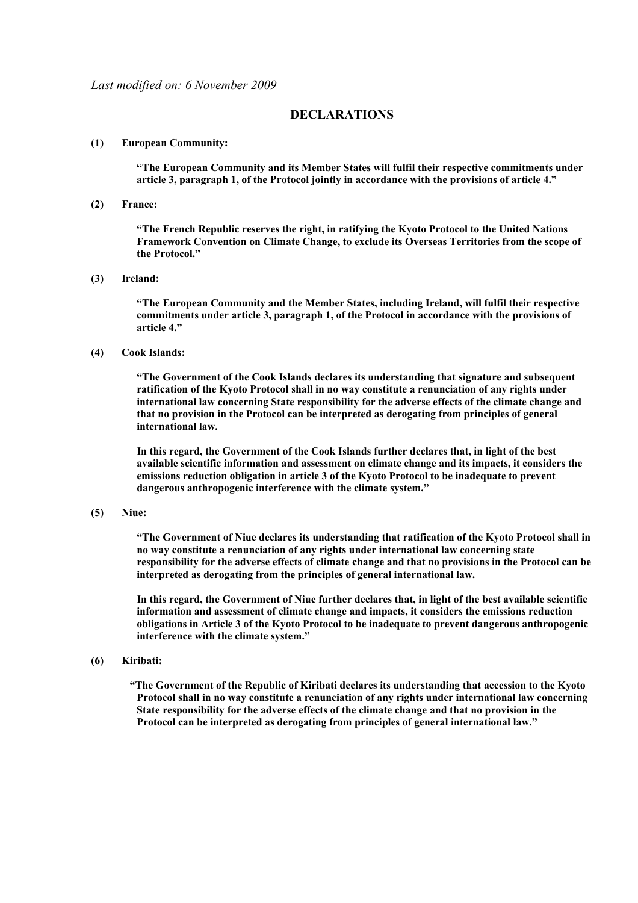### **DECLARATIONS**

#### **(1) European Community:**

**ìThe European Community and its Member States will fulfil their respective commitments under**  article 3, paragraph 1, of the Protocol jointly in accordance with the provisions of article 4."

**(2) France:** 

**ìThe French Republic reserves the right, in ratifying the Kyoto Protocol to the United Nations Framework Convention on Climate Change, to exclude its Overseas Territories from the scope of**  the Protocol."

#### **(3) Ireland:**

**ìThe European Community and the Member States, including Ireland, will fulfil their respective commitments under article 3, paragraph 1, of the Protocol in accordance with the provisions of article 4.î** 

### **(4) Cook Islands:**

**ìThe Government of the Cook Islands declares its understanding that signature and subsequent ratification of the Kyoto Protocol shall in no way constitute a renunciation of any rights under international law concerning State responsibility for the adverse effects of the climate change and that no provision in the Protocol can be interpreted as derogating from principles of general international law.** 

**In this regard, the Government of the Cook Islands further declares that, in light of the best available scientific information and assessment on climate change and its impacts, it considers the emissions reduction obligation in article 3 of the Kyoto Protocol to be inadequate to prevent**  dangerous anthropogenic interference with the climate system."

### **(5) Niue:**

**ìThe Government of Niue declares its understanding that ratification of the Kyoto Protocol shall in no way constitute a renunciation of any rights under international law concerning state responsibility for the adverse effects of climate change and that no provisions in the Protocol can be interpreted as derogating from the principles of general international law.** 

**In this regard, the Government of Niue further declares that, in light of the best available scientific information and assessment of climate change and impacts, it considers the emissions reduction obligations in Article 3 of the Kyoto Protocol to be inadequate to prevent dangerous anthropogenic**  interference with the climate system."

### **(6) Kiribati:**

 **ìThe Government of the Republic of Kiribati declares its understanding that accession to the Kyoto Protocol shall in no way constitute a renunciation of any rights under international law concerning State responsibility for the adverse effects of the climate change and that no provision in the**  Protocol can be interpreted as derogating from principles of general international law."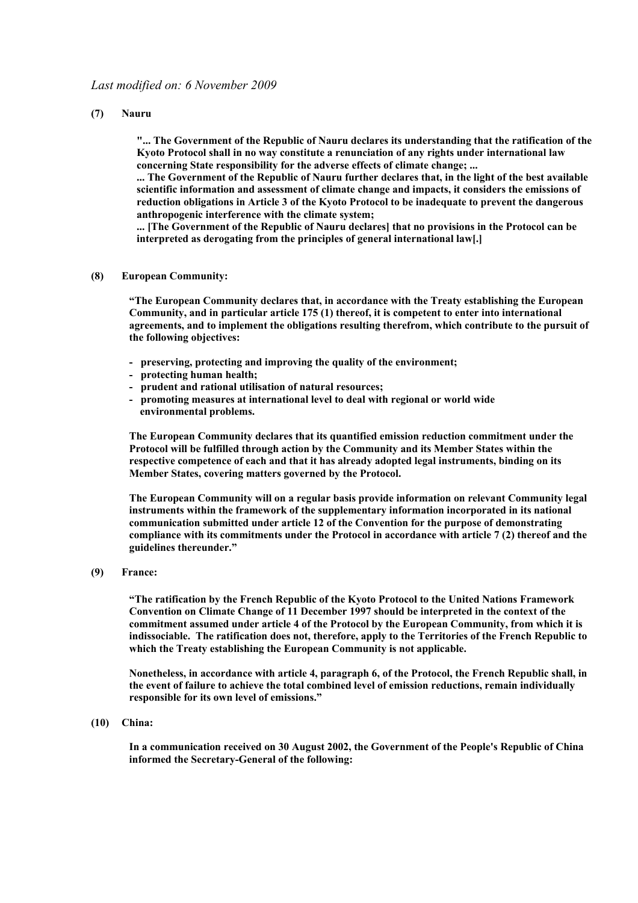**(7) Nauru** 

**"... The Government of the Republic of Nauru declares its understanding that the ratification of the Kyoto Protocol shall in no way constitute a renunciation of any rights under international law concerning State responsibility for the adverse effects of climate change; ...** 

**... The Government of the Republic of Nauru further declares that, in the light of the best available scientific information and assessment of climate change and impacts, it considers the emissions of reduction obligations in Article 3 of the Kyoto Protocol to be inadequate to prevent the dangerous anthropogenic interference with the climate system;** 

**... [The Government of the Republic of Nauru declares] that no provisions in the Protocol can be interpreted as derogating from the principles of general international law[.]** 

**(8) European Community:** 

 **ìThe European Community declares that, in accordance with the Treaty establishing the European Community, and in particular article 175 (1) thereof, it is competent to enter into international agreements, and to implement the obligations resulting therefrom, which contribute to the pursuit of the following objectives:** 

- **preserving, protecting and improving the quality of the environment;**
- **protecting human health;**
- **prudent and rational utilisation of natural resources;**
- **promoting measures at international level to deal with regional or world wide environmental problems.**

 **The European Community declares that its quantified emission reduction commitment under the Protocol will be fulfilled through action by the Community and its Member States within the respective competence of each and that it has already adopted legal instruments, binding on its Member States, covering matters governed by the Protocol.** 

 **The European Community will on a regular basis provide information on relevant Community legal instruments within the framework of the supplementary information incorporated in its national communication submitted under article 12 of the Convention for the purpose of demonstrating compliance with its commitments under the Protocol in accordance with article 7 (2) thereof and the guidelines thereunder.î** 

**(9) France:** 

 **ìThe ratification by the French Republic of the Kyoto Protocol to the United Nations Framework Convention on Climate Change of 11 December 1997 should be interpreted in the context of the commitment assumed under article 4 of the Protocol by the European Community, from which it is indissociable. The ratification does not, therefore, apply to the Territories of the French Republic to which the Treaty establishing the European Community is not applicable.** 

 **Nonetheless, in accordance with article 4, paragraph 6, of the Protocol, the French Republic shall, in the event of failure to achieve the total combined level of emission reductions, remain individually**  responsible for its own level of emissions."

**(10) China:** 

**In a communication received on 30 August 2002, the Government of the People's Republic of China informed the Secretary-General of the following:**